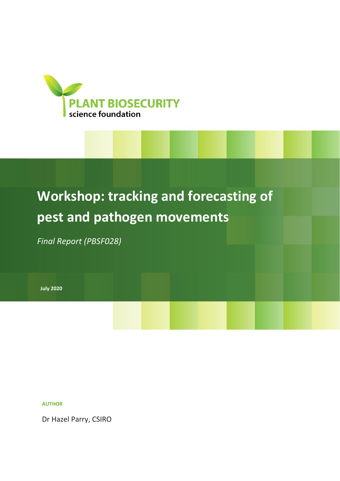

# **Workshop: tracking and forecasting of pest and pathogen movements**

*Final Report (PBSF028)* 

**July 2020**

### **AUTHOR**

Dr Hazel Parry, CSIRO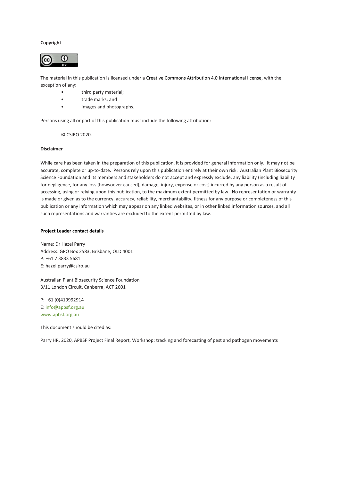#### **Copyright**



The material in this publication is licensed under a [Creative Commons Attribution 4.0 International license,](https://creativecommons.org/licenses/by/4.0/) with the exception of any:

- third party material;
- trade marks; and
- images and photographs.

Persons using all or part of this publication must include the following attribution:

© CSIRO 2020.

#### **Disclaimer**

While care has been taken in the preparation of this publication, it is provided for general information only. It may not be accurate, complete or up-to-date. Persons rely upon this publication entirely at their own risk. Australian Plant Biosecurity Science Foundation and its members and stakeholders do not accept and expressly exclude, any liability (including liability for negligence, for any loss (howsoever caused), damage, injury, expense or cost) incurred by any person as a result of accessing, using or relying upon this publication, to the maximum extent permitted by law. No representation or warranty is made or given as to the currency, accuracy, reliability, merchantability, fitness for any purpose or completeness of this publication or any information which may appear on any linked websites, or in other linked information sources, and all such representations and warranties are excluded to the extent permitted by law.

#### **Project Leader contact details**

Name: Dr Hazel Parry Address: GPO Box 2583, Brisbane, QLD 4001 P: +61 7 3833 5681 E: hazel.parry@csiro.au

Australian Plant Biosecurity Science Foundation 3/11 London Circuit, Canberra, ACT 2601

P: +61 (0)419992914 E[: info@apbsf.org.au](mailto:info@apbsf.org.au) [www.apbsf.org.au](http://www.apbsf.org.au/)

This document should be cited as:

Parry HR, 2020, APBSF Project Final Report, Workshop: tracking and forecasting of pest and pathogen movements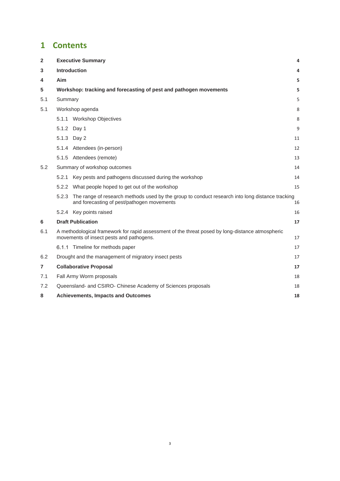# **1 Contents**

| $\overline{\mathbf{2}}$ | <b>Executive Summary</b><br>4                                                                                                                      |                                                                                                                                                     |    |
|-------------------------|----------------------------------------------------------------------------------------------------------------------------------------------------|-----------------------------------------------------------------------------------------------------------------------------------------------------|----|
| 3                       | Introduction                                                                                                                                       |                                                                                                                                                     |    |
| 4                       | Aim                                                                                                                                                |                                                                                                                                                     | 5  |
| 5                       |                                                                                                                                                    | Workshop: tracking and forecasting of pest and pathogen movements                                                                                   | 5  |
| 5.1                     | Summary                                                                                                                                            |                                                                                                                                                     | 5  |
| 5.1                     |                                                                                                                                                    | Workshop agenda                                                                                                                                     | 8  |
|                         |                                                                                                                                                    | 5.1.1 Workshop Objectives                                                                                                                           | 8  |
|                         | 5.1.2 Day 1                                                                                                                                        |                                                                                                                                                     | 9  |
|                         | 5.1.3 Day 2                                                                                                                                        |                                                                                                                                                     | 11 |
|                         |                                                                                                                                                    | 5.1.4 Attendees (in-person)                                                                                                                         | 12 |
|                         |                                                                                                                                                    | 5.1.5 Attendees (remote)                                                                                                                            | 13 |
| 5.2                     |                                                                                                                                                    | Summary of workshop outcomes                                                                                                                        | 14 |
|                         |                                                                                                                                                    | 5.2.1 Key pests and pathogens discussed during the workshop                                                                                         | 14 |
|                         |                                                                                                                                                    | 5.2.2 What people hoped to get out of the workshop                                                                                                  | 15 |
|                         |                                                                                                                                                    | 5.2.3 The range of research methods used by the group to conduct research into long distance tracking<br>and forecasting of pest/pathogen movements | 16 |
|                         |                                                                                                                                                    | 5.2.4 Key points raised                                                                                                                             | 16 |
| 6                       |                                                                                                                                                    | <b>Draft Publication</b>                                                                                                                            | 17 |
| 6.1                     | A methodological framework for rapid assessment of the threat posed by long-distance atmospheric<br>movements of insect pests and pathogens.<br>17 |                                                                                                                                                     |    |
|                         |                                                                                                                                                    | 6.1.1 Timeline for methods paper                                                                                                                    | 17 |
| 6.2                     | Drought and the management of migratory insect pests                                                                                               |                                                                                                                                                     |    |
| 7                       | <b>Collaborative Proposal</b><br>17                                                                                                                |                                                                                                                                                     |    |
| 7.1                     | Fall Army Worm proposals<br>18                                                                                                                     |                                                                                                                                                     |    |
| 7.2                     | Queensland- and CSIRO- Chinese Academy of Sciences proposals<br>18                                                                                 |                                                                                                                                                     |    |
| 8                       | <b>Achievements, Impacts and Outcomes</b><br>18                                                                                                    |                                                                                                                                                     |    |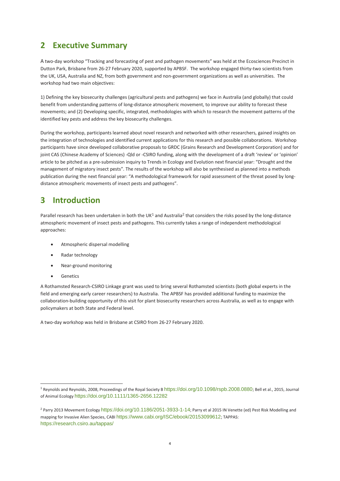# <span id="page-3-0"></span>**2 Executive Summary**

A two-day workshop "Tracking and forecasting of pest and pathogen movements" was held at the Ecosciences Precinct in Dutton Park, Brisbane from 26-27 February 2020, supported by APBSF. The workshop engaged thirty-two scientists from the UK, USA, Australia and NZ, from both government and non-government organizations as well as universities. The workshop had two main objectives:

1) Defining the key biosecurity challenges (agricultural pests and pathogens) we face in Australia (and globally) that could benefit from understanding patterns of long-distance atmospheric movement, to improve our ability to forecast these movements; and (2) Developing specific, integrated, methodologies with which to research the movement patterns of the identified key pests and address the key biosecurity challenges.

During the workshop, participants learned about novel research and networked with other researchers, gained insights on the integration of technologies and identified current applications for this research and possible collaborations. Workshop participants have since developed collaborative proposals to GRDC (Grains Research and Development Corporation) and for joint CAS (Chinese Academy of Sciences) -Qld or -CSIRO funding, along with the development of a draft 'review' or 'opinion' article to be pitched as a pre-submission inquiry to Trends in Ecology and Evolution next financial year: "Drought and the management of migratory insect pests". The results of the workshop will also be synthesised as planned into a methods publication during the next financial year: "A methodological framework for rapid assessment of the threat posed by longdistance atmospheric movements of insect pests and pathogens".

# <span id="page-3-1"></span>**3 Introduction**

Parallel research has been undertaken in both the UK<sup>1</sup> and Australia<sup>2</sup> that considers the risks posed by the long-distance atmospheric movement of insect pests and pathogens. This currently takes a range of independent methodological approaches:

- Atmospheric dispersal modelling
- Radar technology
- Near-ground monitoring
- Genetics

A Rothamsted Research-CSIRO Linkage grant was used to bring several Rothamsted scientists (both global experts in the field and emerging early career researchers) to Australia. The APBSF has provided additional funding to maximize the collaboration-building opportunity of this visit for plant biosecurity researchers across Australia, as well as to engage with policymakers at both State and Federal level.

A two-day workshop was held in Brisbane at CSIRO from 26-27 February 2020.

<sup>&</sup>lt;sup>1</sup> Reynolds and Reynolds, 2008, Proceedings of the Royal Society B <https://doi.org/10.1098/rspb.2008.0880>; Bell et al., 2015, Journal of Animal Ecology <https://doi.org/10.1111/1365-2656.12282>

<sup>&</sup>lt;sup>2</sup> Parry 2013 Movement Ecology <https://doi.org/10.1186/2051-3933-1-14>; Parry et al 2015 IN Venette (ed) Pest Risk Modelling and mapping for Invasive Alien Species, CABI <https://www.cabi.org/ISC/ebook/20153099612>; TAPPAS: <https://research.csiro.au/tappas/>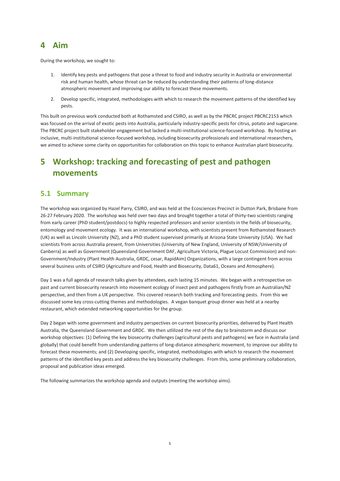# <span id="page-4-0"></span>**4 Aim**

During the workshop, we sought to:

- 1. Identify key pests and pathogens that pose a threat to food and industry security in Australia or environmental risk and human health, whose threat can be reduced by understanding their patterns of long-distance atmospheric movement and improving our ability to forecast these movements.
- 2. Develop specific, integrated, methodologies with which to research the movement patterns of the identified key pests.

This built on previous work conducted both at Rothamsted and CSIRO, as well as by the PBCRC project PBCRC2153 which was focused on the arrival of exotic pests into Australia, particularly industry-specific pests for citrus, potato and sugarcane. The PBCRC project built stakeholder engagement but lacked a multi-institutional science-focused workshop. By hosting an inclusive, multi-institutional science-focused workshop, including biosecurity professionals and international researchers, we aimed to achieve some clarity on opportunities for collaboration on this topic to enhance Australian plant biosecurity.

# <span id="page-4-1"></span>**5 Workshop: tracking and forecasting of pest and pathogen movements**

### <span id="page-4-2"></span>**5.1 Summary**

The workshop was organized by Hazel Parry, CSIRO, and was held at the Ecosciences Precinct in Dutton Park, Brisbane from 26-27 February 2020. The workshop was held over two days and brought together a total of thirty-two scientists ranging from early career (PhD student/postdocs) to highly respected professors and senior scientists in the fields of biosecurity, entomology and movement ecology. It was an international workshop, with scientists present from Rothamsted Research (UK) as well as Lincoln University (NZ), and a PhD student supervised primarily at Arizona State University (USA). We had scientists from across Australia present, from Universities (University of New England, University of NSW/University of Canberra) as well as Government (Queensland Government DAF, Agriculture Victoria, Plague Locust Commission) and non-Government/Industry (Plant Health Australia, GRDC, cesar, RapidAim) Organizations, with a large contingent from across several business units of CSIRO (Agriculture and Food, Health and Biosecurity, Data61, Oceans and Atmosphere).

Day 1 was a full agenda of research talks given by attendees, each lasting 15 minutes. We began with a retrospective on past and current biosecurity research into movement ecology of insect pest and pathogens firstly from an Australian/NZ perspective, and then from a UK perspective. This covered research both tracking and forecasting pests. From this we discussed some key cross-cutting themes and methodologies. A vegan banquet group dinner was held at a nearby restaurant, which extended networking opportunities for the group.

Day 2 began with some government and industry perspectives on current biosecurity priorities, delivered by Plant Health Australia, the Queensland Government and GRDC. We then utlilized the rest of the day to brainstorm and discuss our workshop objectives: (1) Defining the key biosecurity challenges (agricultural pests and pathogens) we face in Australia (and globally) that could benefit from understanding patterns of long-distance atmospheric movement, to improve our ability to forecast these movements; and (2) Developing specific, integrated, methodologies with which to research the movement patterns of the identified key pests and address the key biosecurity challenges. From this, some preliminary collaboration, proposal and publication ideas emerged.

The following summarizes the workshop agenda and outputs (meeting the workshop aims).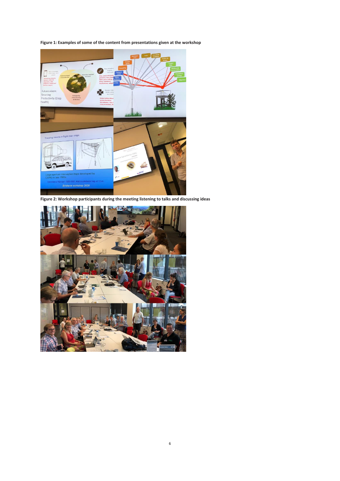**Figure 1: Examples of some of the content from presentations given at the workshop**



**Figure 2: Workshop participants during the meeting listening to talks and discussing ideas**

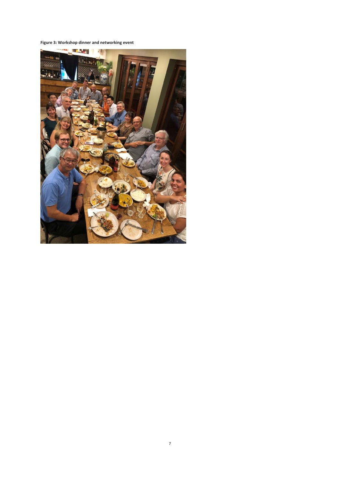**Figure 3: Workshop dinner and networking event**

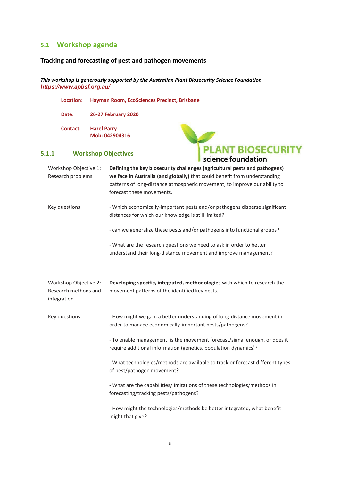### <span id="page-7-0"></span>**5.1 Workshop agenda**

### **Tracking and forecasting of pest and pathogen movements**

*This workshop is generously supported by the Australian Plant Biosecurity Science Foundation <https://www.apbsf.org.au/>*

**Location: Hayman Room, EcoSciences Precinct, Brisbane**

**Date: 26-27 February 2020**

**Contact: Hazel Parry Mob: 042904316**



### <span id="page-7-1"></span>**5.1.1 Workshop Objectives**

| Workshop Objective 1:<br>Research problems                   | Defining the key biosecurity challenges (agricultural pests and pathogens)<br>we face in Australia (and globally) that could benefit from understanding<br>patterns of long-distance atmospheric movement, to improve our ability to<br>forecast these movements. |
|--------------------------------------------------------------|-------------------------------------------------------------------------------------------------------------------------------------------------------------------------------------------------------------------------------------------------------------------|
| Key questions                                                | - Which economically-important pests and/or pathogens disperse significant<br>distances for which our knowledge is still limited?                                                                                                                                 |
|                                                              | - can we generalize these pests and/or pathogens into functional groups?                                                                                                                                                                                          |
|                                                              | - What are the research questions we need to ask in order to better<br>understand their long-distance movement and improve management?                                                                                                                            |
| Workshop Objective 2:<br>Research methods and<br>integration | Developing specific, integrated, methodologies with which to research the<br>movement patterns of the identified key pests.                                                                                                                                       |
| Key questions                                                | - How might we gain a better understanding of long-distance movement in<br>order to manage economically-important pests/pathogens?                                                                                                                                |
|                                                              | - To enable management, is the movement forecast/signal enough, or does it<br>require additional information (genetics, population dynamics)?                                                                                                                     |
|                                                              | - What technologies/methods are available to track or forecast different types<br>of pest/pathogen movement?                                                                                                                                                      |
|                                                              | - What are the capabilities/limitations of these technologies/methods in<br>forecasting/tracking pests/pathogens?                                                                                                                                                 |
|                                                              | - How might the technologies/methods be better integrated, what benefit<br>might that give?                                                                                                                                                                       |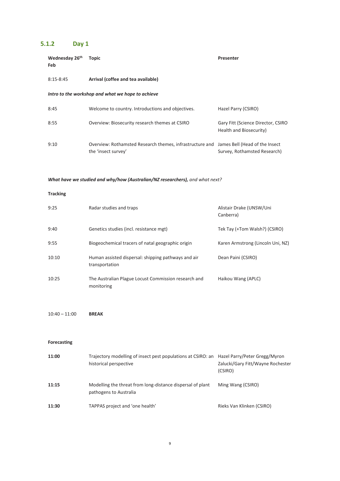# <span id="page-8-0"></span>**5.1.2 Day 1**

| Wednesday 26th<br>Feb | <b>Topic</b>                                                                    | Presenter                                                      |
|-----------------------|---------------------------------------------------------------------------------|----------------------------------------------------------------|
| $8:15 - 8:45$         | Arrival (coffee and tea available)                                              |                                                                |
|                       | Intro to the workshop and what we hope to achieve                               |                                                                |
| 8:45                  | Welcome to country. Introductions and objectives.                               | Hazel Parry (CSIRO)                                            |
| 8:55                  | Overview: Biosecurity research themes at CSIRO                                  | Gary Fitt (Science Director, CSIRO<br>Health and Biosecurity)  |
| 9:10                  | Overview: Rothamsted Research themes, infrastructure and<br>the 'insect survey' | James Bell (Head of the Insect<br>Survey, Rothamsted Research) |

### *What have we studied and why/how (Australian/NZ researchers), and what next?*

#### **Tracking**

| 9:25  | Radar studies and traps                                               | Alistair Drake (UNSW/Uni<br>Canberra) |
|-------|-----------------------------------------------------------------------|---------------------------------------|
| 9:40  | Genetics studies (incl. resistance mgt)                               | Tek Tay (+Tom Walsh?) (CSIRO)         |
| 9:55  | Biogeochemical tracers of natal geographic origin                     | Karen Armstrong (Lincoln Uni, NZ)     |
| 10:10 | Human assisted dispersal: shipping pathways and air<br>transportation | Dean Paini (CSIRO)                    |
| 10:25 | The Australian Plague Locust Commission research and<br>monitoring    | Haikou Wang (APLC)                    |

10:40 – 11:00 **BREAK**

#### **Forecasting**

| 11:00 | Trajectory modelling of insect pest populations at CSIRO: an<br>historical perspective | Hazel Parry/Peter Gregg/Myron<br>Zalucki/Gary Fitt/Wayne Rochester<br>(CSIRO) |
|-------|----------------------------------------------------------------------------------------|-------------------------------------------------------------------------------|
| 11:15 | Modelling the threat from long-distance dispersal of plant<br>pathogens to Australia   | Ming Wang (CSIRO)                                                             |
| 11:30 | TAPPAS project and 'one health'                                                        | Rieks Van Klinken (CSIRO)                                                     |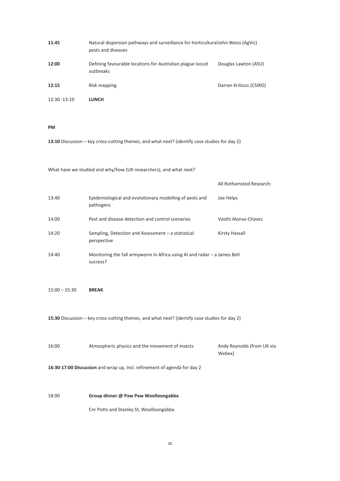| 11:45           | Natural dispersion pathways and surveillance for horticultural John Weiss (AgVic)<br>pests and diseases |                         |
|-----------------|---------------------------------------------------------------------------------------------------------|-------------------------|
| 12:00           | Defining favourable locations for Australian plague locust<br>outbreaks                                 | Douglas Lawton (ASU)    |
| 12:15           | Risk mapping                                                                                            | Darren Kriticos (CSIRO) |
| $12:30 - 13:10$ | <b>LUNCH</b>                                                                                            |                         |

**PM**

**13:10** Discussion – key cross-cutting themes, and what next? (identify case studies for day 2)

What have we studied and why/how (UK researchers), and what next?

|       |                                                                                        | All Rothamsted Research: |
|-------|----------------------------------------------------------------------------------------|--------------------------|
| 13:40 | Epidemiological and evolutionary modelling of pests and<br>pathogens                   | Joe Helps                |
| 14:00 | Pest and disease detection and control scenarios                                       | Vasthi Alonso-Chavez     |
| 14:20 | Sampling, Detection and Assessment $-$ a statistical<br>perspective                    | Kirsty Hassall           |
| 14:40 | Monitoring the fall armyworm in Africa using AI and radar $-$ a James Bell<br>success? |                          |

15:00 – 15:30 **BREAK** 

**15:30** Discussion – key cross-cutting themes, and what next? (identify case studies for day 2)

| 16:00 | Atmospheric physics and the movement of insects | Andy Reynolds (from UK via |  |
|-------|-------------------------------------------------|----------------------------|--|
|       |                                                 | Webex)                     |  |
|       |                                                 |                            |  |

**16:30-17:00 Discussion** and wrap up, incl. refinement of agenda for day 2

18:00 **Group dinner @ Paw Paw Woolloongabba**

Cnr Potts and Stanley St, Woolloongabba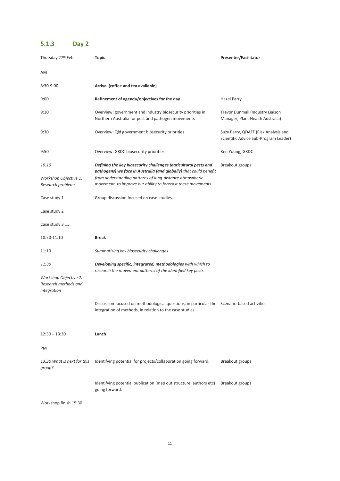# <span id="page-10-0"></span>**5.1.3 Day 2**

| Thursday 27th Feb                                                     | Topic                                                                                                                                                                                                                                                             | Presenter/Facilitator                                                         |
|-----------------------------------------------------------------------|-------------------------------------------------------------------------------------------------------------------------------------------------------------------------------------------------------------------------------------------------------------------|-------------------------------------------------------------------------------|
| AM                                                                    |                                                                                                                                                                                                                                                                   |                                                                               |
| 8:30-9:00                                                             | Arrival (coffee and tea available)                                                                                                                                                                                                                                |                                                                               |
| 9:00                                                                  | Refinement of agenda/objectives for the day                                                                                                                                                                                                                       | Hazel Parry                                                                   |
| 9:10                                                                  | Overview: government and industry biosecurity priorities in<br>Northern Australia for pest and pathogen movements                                                                                                                                                 | Trevor Dunmall (Industry Liaison<br>Manager, Plant Health Australia)          |
| 9:30                                                                  | Overview: Qld government biosecurity priorities                                                                                                                                                                                                                   | Suzy Perry, QDAFF (Risk Analysis and<br>Scientific Advice Sub-Program Leader) |
| 9:50                                                                  | Overview: GRDC biosecurity priorities                                                                                                                                                                                                                             | Ken Young, GRDC                                                               |
| 10:10<br>Workshop Objective 1:<br>Research problems                   | Defining the key biosecurity challenges (agricultural pests and<br>pathogens) we face in Australia (and globally) that could benefit<br>from understanding patterns of long-distance atmospheric<br>movement, to improve our ability to forecast these movements. | Breakout groups                                                               |
| Case study 1                                                          | Group discussion focused on case-studies.                                                                                                                                                                                                                         |                                                                               |
| Case study 2                                                          |                                                                                                                                                                                                                                                                   |                                                                               |
| Case study 3                                                          |                                                                                                                                                                                                                                                                   |                                                                               |
| 10:50-11:10                                                           | <b>Break</b>                                                                                                                                                                                                                                                      |                                                                               |
| 11:10                                                                 | Summarizing key biosecurity challenges                                                                                                                                                                                                                            |                                                                               |
| 11:30<br>Workshop Objective 2:<br>Research methods and<br>integration | Developing specific, integrated, methodologies with which to<br>research the movement patterns of the identified key pests.                                                                                                                                       |                                                                               |
|                                                                       | Discussion focused on methodological questions, in particular the Scenario-based activities<br>integration of methods, in relation to the case studies.                                                                                                           |                                                                               |
| $12:30 - 13:30$                                                       | Lunch                                                                                                                                                                                                                                                             |                                                                               |
| PM                                                                    |                                                                                                                                                                                                                                                                   |                                                                               |
| 13:30 What is next for this<br>group?                                 | Identifying potential for projects/collaboration going forward.                                                                                                                                                                                                   | Breakout groups                                                               |
|                                                                       | Identifying potential publication (map out structure, authors etc)<br>going forward.                                                                                                                                                                              | Breakout groups                                                               |
| Workshop finish 15:30                                                 |                                                                                                                                                                                                                                                                   |                                                                               |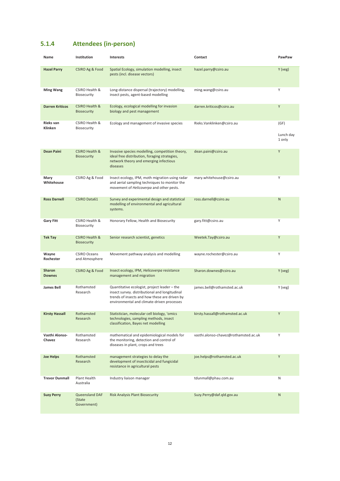# <span id="page-11-0"></span>**5.1.4 Attendees (in-person)**

| Name                           | Institution                                     | <b>Interests</b>                                                                                                                                                                              | Contact                               | PawPaw                      |
|--------------------------------|-------------------------------------------------|-----------------------------------------------------------------------------------------------------------------------------------------------------------------------------------------------|---------------------------------------|-----------------------------|
| <b>Hazel Parry</b>             | <b>CSIRO Ag &amp; Food</b>                      | Spatial Ecology, simulation modelling, insect<br>pests (incl. disease vectors)                                                                                                                | hazel.parry@csiro.au                  | Y (veg)                     |
| <b>Ming Wang</b>               | CSIRO Health &<br>Biosecurity                   | Long-distance dispersal (trajectory) modelling,<br>insect pests, agent-based modelling                                                                                                        | ming.wang@csiro.au                    | Υ                           |
| <b>Darren Kriticos</b>         | <b>CSIRO Health &amp;</b><br><b>Biosecurity</b> | Ecology, ecological modelling for invasion<br>biology and pest management                                                                                                                     | darren.kriticos@csiro.au              | Y                           |
| Rieks van<br>Klinken           | CSIRO Health &<br>Biosecurity                   | Ecology and management of invasive species                                                                                                                                                    | Rieks. Vanklinken@csiro.au            | (GF)<br>Lunch day<br>1 only |
| <b>Dean Paini</b>              | <b>CSIRO Health &amp;</b><br><b>Biosecurity</b> | Invasive species modelling, competition theory,<br>ideal free distribution, foraging strategies,<br>network theory and emerging infectious<br>diseases                                        | dean.paini@csiro.au                   | Υ                           |
| Mary<br>Whitehouse             | CSIRO Ag & Food                                 | Insect ecology, IPM, moth migration using radar<br>and aerial sampling techniques to monitor the<br>movement of <i>Helicoverpa</i> and other pests.                                           | mary.whitehouse@csiro.au              | Υ                           |
| <b>Ross Darnell</b>            | <b>CSIRO Data61</b>                             | Survey and experimental design and statistical<br>modelling of environmental and agricultural<br>systems.                                                                                     | ross.darnell@csiro.au                 | N                           |
| <b>Gary Fitt</b>               | CSIRO Health &<br>Biosecurity                   | Honorary Fellow, Health and Biosecurity                                                                                                                                                       | gary.fitt@csiro.au                    | Υ                           |
| Tek Tay                        | <b>CSIRO Health &amp;</b><br><b>Biosecurity</b> | Senior research scientist, genetics                                                                                                                                                           | Weetek.Tay@csiro.au                   | Υ                           |
| Wayne<br>Rochester             | <b>CSIRO Oceans</b><br>and Atmosphere           | Movement pathway analysis and modelling                                                                                                                                                       | wayne.rochester@csiro.au              | Υ                           |
| <b>Sharon</b><br><b>Downes</b> | <b>CSIRO Ag &amp; Food</b>                      | Insect ecology, IPM, Helicoverpa resistance<br>management and migration                                                                                                                       | Sharon.downes@csiro.au                | Y (veg)                     |
| <b>James Bell</b>              | Rothamsted<br>Research                          | Quantitative ecologist, project leader - the<br>insect survey. distributional and longitudinal<br>trends of insects and how these are driven by<br>environmental and climate-driven processes | james.bell@rothamsted.ac.uk           | Y (veg)                     |
| <b>Kirsty Hassall</b>          | Rothamsted<br>Research                          | Statistician, molecular cell biology, 'omics<br>technologies, sampling methods, insect<br>classification, Bayes net modelling                                                                 | kirsty.hassall@rothamsted.ac.uk       | Υ                           |
| Vasthi Alonso-<br>Chavez       | Rothamsted<br>Research                          | mathematical and epidemiological models for<br>the monitoring, detection and control of<br>diseases in plant, crops and trees                                                                 | vasthi.alonso-chavez@rothamsted.ac.uk | Υ                           |
| <b>Joe Helps</b>               | Rothamsted<br>Research                          | management strategies to delay the<br>development of insecticidal and fungicidal<br>resistance in agricultural pests                                                                          | joe.helps@rothamsted.ac.uk            | Υ                           |
| <b>Trevor Dunmall</b>          | Plant Health<br>Australia                       | Industry liaison manager                                                                                                                                                                      | tdunmall@phau.com.au                  | Ν                           |
| <b>Suzy Perry</b>              | Queensland DAF<br>(State<br>Government)         | <b>Risk Analysis Plant Biosecurity</b>                                                                                                                                                        | Suzy.Perry@daf.qld.gov.au             | N                           |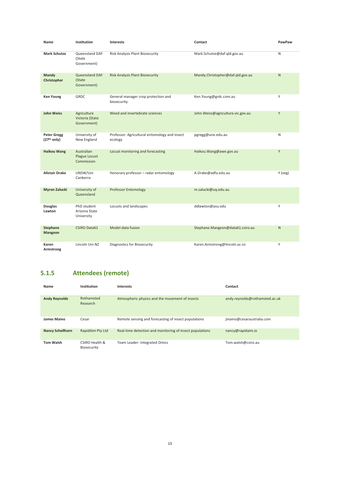| Name                                          | Institution                                      | <b>Interests</b>                                         | Contact                           | PawPaw  |
|-----------------------------------------------|--------------------------------------------------|----------------------------------------------------------|-----------------------------------|---------|
| <b>Mark Schutze</b>                           | Queensland DAF<br>(State<br>Government)          | Risk Analysis Plant Biosecurity                          | Mark.Schutze@daf.qld.gov.au       | N       |
| Mandy<br>Christopher                          | <b>Queensland DAF</b><br>(State<br>Government)   | <b>Risk Analysis Plant Biosecurity</b>                   | Mandy.Christopher@daf.qld.gov.au  | N       |
| <b>Ken Young</b>                              | GRDC                                             | General manager crop protection and<br>biosecurity       | Ken.Young@grdc.com.au             | Y       |
| <b>John Weiss</b>                             | Agriculture<br>Victoria (State<br>Government)    | Weed and invertebrate sciences                           | John.Weiss@agriculture.vic.gov.au | Y       |
| <b>Peter Gregg</b><br>(27 <sup>th</sup> only) | University of<br>New England                     | Professor: Agricultural entomology and insect<br>ecology | pgregg@une.edu.au                 | Ν       |
| <b>Haikou Wang</b>                            | Australian<br><b>Plague Locust</b><br>Commission | Locust monitoring and forecasting                        | Haikou.Wang@awe.gov.au            | Y       |
| <b>Alistair Drake</b>                         | UNSW/Uni<br>Canberra                             | Honorary professor - radar entomology                    | A.Drake@adfa.edu.au               | Y (veg) |
| <b>Myron Zalucki</b>                          | University of<br>Queensland                      | <b>Professor Entomology</b>                              | m.zalucki@uq.edu.au               |         |
| <b>Douglas</b><br>Lawton                      | PhD student<br>Arizona State<br>University       | Locusts and landscapes                                   | ddlawton@asu.edu                  | Y       |
| <b>Stephane</b><br><b>Mangeon</b>             | <b>CSIRO Data61</b>                              | Model-data fusion                                        | Stephane.Mangeon@data61.csiro.au  | N       |
| Karen<br>Armstrong                            | Lincoln Uni NZ                                   | Diagnostics for Biosecurity                              | Karen.Armstrong@lincoln.ac.nz     | Y       |

# <span id="page-12-0"></span>**5.1.5 Attendees (remote)**

| Name                    | Institution                   | <b>Interests</b>                                         | Contact                        |
|-------------------------|-------------------------------|----------------------------------------------------------|--------------------------------|
| <b>Andy Reynolds</b>    | Rothamsted<br>Research        | Atmospheric physics and the movement of insects          | andy.reynolds@rothamsted.ac.uk |
| James Maino             | Cesar                         | Remote sensing and forecasting of insect populations     | jmaino@cesaraustralia.com      |
| <b>Nancy Schellhorn</b> | RapidAim Pty Ltd              | Real-time detection and monitoring of insect populations | nancy@rapidaim.io              |
| <b>Tom Walsh</b>        | CSIRO Health &<br>Biosecurity | Team Leader: Integrated Omics                            | Tom.walsh@csiro.au             |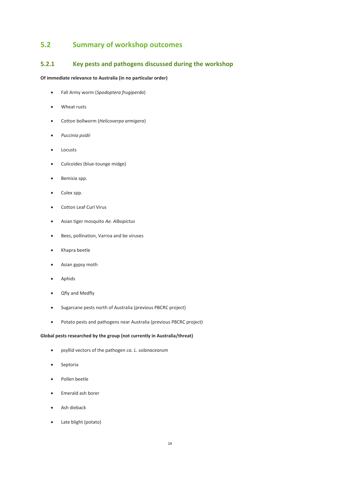# <span id="page-13-0"></span>**5.2 Summary of workshop outcomes**

### <span id="page-13-1"></span>**5.2.1 Key pests and pathogens discussed during the workshop**

#### **Of immediate relevance to Australia (in no particular order)**

- Fall Army worm (*Spodoptera frugiperda*)
- Wheat rusts
- Cotton bollworm (*Helicoverpa armigera*)
- *Puccinia psidii*
- Locusts
- Culicoides (blue-tounge midge)
- Bemisia spp.
- Culex spp.
- Cotton Leaf Curl Virus
- Asian tiger mosquito *Ae. Albopictus*
- Bees, pollination, Varroa and be viruses
- Khapra beetle
- Asian gypsy moth
- Aphids
- Qfly and Medfly
- Sugarcane pests north of Australia (previous PBCRC project)
- Potato pests and pathogens near Australia (previous PBCRC project)

#### **Global pests researched by the group (not currently in Australia/threat)**

- psyllid vectors of the pathogen *ca. L. solanacearum*
- Septoria
- Pollen beetle
- Emerald ash borer
- Ash dieback
- Late blight (potato)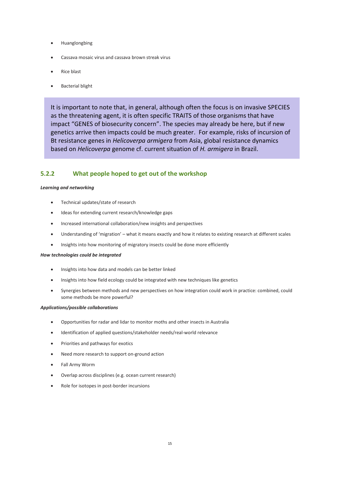- Huanglongbing
- Cassava mosaic virus and cassava brown streak virus
- Rice blast
- Bacterial blight

It is important to note that, in general, although often the focus is on invasive SPECIES as the threatening agent, it is often specific TRAITS of those organisms that have impact "GENES of biosecurity concern". The species may already be here, but if new genetics arrive then impacts could be much greater. For example, risks of incursion of Bt resistance genes in *Helicoverpa armigera* from Asia, global resistance dynamics based on *Helicoverpa* genome cf. current situation of *H. armigera* in Brazil.

### <span id="page-14-0"></span>**5.2.2 What people hoped to get out of the workshop**

#### *Learning and networking*

- Technical updates/state of research
- Ideas for extending current research/knowledge gaps
- Increased international collaboration/new insights and perspectives
- Understanding of 'migration' what it means exactly and how it relates to existing research at different scales
- Insights into how monitoring of migratory insects could be done more efficiently

#### *How technologies could be integrated*

- Insights into how data and models can be better linked
- Insights into how field ecology could be integrated with new techniques like genetics
- Synergies between methods and new perspectives on how integration could work in practice: combined, could some methods be more powerful?

#### *Applications/possible collaborations*

- Opportunities for radar and lidar to monitor moths and other insects in Australia
- Identification of applied questions/stakeholder needs/real-world relevance
- Priorities and pathways for exotics
- Need more research to support on-ground action
- Fall Army Worm
- Overlap across disciplines (e.g. ocean current research)
- Role for isotopes in post-border incursions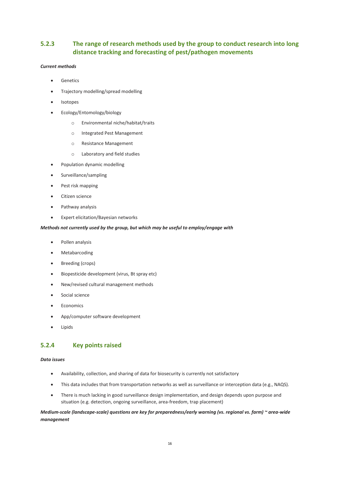### <span id="page-15-0"></span>**5.2.3 The range of research methods used by the group to conduct research into long distance tracking and forecasting of pest/pathogen movements**

#### *Current methods*

- Genetics
- Trajectory modelling/spread modelling
- Isotopes
- Ecology/Entomology/biology
	- o Environmental niche/habitat/traits
	- o Integrated Pest Management
	- o Resistance Management
	- o Laboratory and field studies
- Population dynamic modelling
- Surveillance/sampling
- Pest risk mapping
- Citizen science
- Pathway analysis
- Expert elicitation/Bayesian networks

#### *Methods not currently used by the group, but which may be useful to employ/engage with*

- Pollen analysis
- Metabarcoding
- Breeding (crops)
- Biopesticide development (virus, Bt spray etc)
- New/revised cultural management methods
- Social science
- Economics
- App/computer software development
- **Lipids**

#### <span id="page-15-1"></span>**5.2.4 Key points raised**

#### *Data issues*

- Availability, collection, and sharing of data for biosecurity is currently not satisfactory
- This data includes that from transportation networks as well as surveillance or interception data (e.g., NAQS).
- There is much lacking in good surveillance design implementation, and design depends upon purpose and situation (e.g. detection, ongoing surveillance, area-freedom, trap placement)

#### *Medium-scale (landscape-scale) questions are key for preparedness/early warning (vs. regional vs. farm) ~ area-wide management*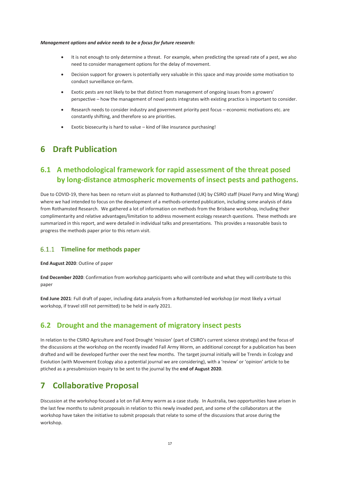#### *Management options and advice needs to be a focus for future research:*

- It is not enough to only determine a threat. For example, when predicting the spread rate of a pest, we also need to consider management options for the delay of movement.
- Decision support for growers is potentially very valuable in this space and may provide some motivation to conduct surveillance on-farm.
- Exotic pests are not likely to be that distinct from management of ongoing issues from a growers' perspective – how the management of novel pests integrates with existing practice is important to consider.
- Research needs to consider industry and government priority pest focus economic motivations etc. are constantly shifting, and therefore so are priorities.
- Exotic biosecurity is hard to value kind of like insurance purchasing!

# <span id="page-16-0"></span>**6 Draft Publication**

# <span id="page-16-1"></span>**6.1 A methodological framework for rapid assessment of the threat posed by long-distance atmospheric movements of insect pests and pathogens.**

Due to COVID-19, there has been no return visit as planned to Rothamsted (UK) by CSIRO staff (Hazel Parry and Ming Wang) where we had intended to focus on the development of a methods-oriented publication, including some analysis of data from Rothamsted Research. We gathered a lot of information on methods from the Brisbane workshop, including their complimentarity and relative advantages/limitation to address movement ecology research questions. These methods are summarized in this report, and were detailed in individual talks and presentations. This provides a reasonable basis to progress the methods paper prior to this return visit.

#### <span id="page-16-2"></span>**Timeline for methods paper**

**End August 2020**: Outline of paper

**End December 2020**: Confirmation from workshop participants who will contribute and what they will contribute to this paper

**End June 2021**: Full draft of paper, including data analysis from a Rothamsted-led workshop (or most likely a virtual workshop, if travel still not permitted) to be held in early 2021.

### <span id="page-16-3"></span>**6.2 Drought and the management of migratory insect pests**

In relation to the CSIRO Agriculture and Food Drought 'mission' (part of CSIRO's current science strategy) and the focus of the discussions at the workshop on the recently invaded Fall Army Worm, an additional concept for a publication has been drafted and will be developed further over the next few months. The target journal initially will be Trends in Ecology and Evolution (with Movement Ecology also a potential journal we are considering), with a 'review' or 'opinion' article to be ptiched as a presubmission inquiry to be sent to the journal by the **end of August 2020**.

# <span id="page-16-4"></span>**7 Collaborative Proposal**

Discussion at the workshop focused a lot on Fall Army worm as a case study. In Australia, two opportunities have arisen in the last few months to submit proposals in relation to this newly invaded pest, and some of the collaborators at the workshop have taken the initiative to submit proposals that relate to some of the discussions that arose during the workshop.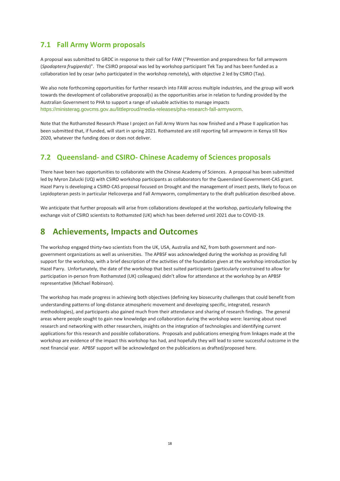# <span id="page-17-0"></span>**7.1 Fall Army Worm proposals**

A proposal was submitted to GRDC in response to their call for FAW ("Prevention and preparedness for fall armyworm (*Spodoptera frugiperda*)". The CSIRO proposal was led by workshop participant Tek Tay and has been funded as a collaboration led by cesar (who participated in the workshop remotely), with objective 2 led by CSIRO (Tay).

We also note forthcoming opportunities for further research into FAW across multiple industries, and the group will work towards the development of collaborative proposal(s) as the opportunities arise in relation to funding provided by the Australian Government to PHA to support a range of valuable activities to manage impacts <https://ministerag.govcms.gov.au/littleproud/media-releases/pha-research-fall-armyworm>.

Note that the Rothamsted Research Phase I project on Fall Army Worm has now finished and a Phase II application has been submitted that, if funded, will start in spring 2021. Rothamsted are still reporting fall armyworm in Kenya till Nov 2020, whatever the funding does or does not deliver.

# <span id="page-17-1"></span>**7.2 Queensland- and CSIRO- Chinese Academy of Sciences proposals**

There have been two opportunities to collaborate with the Chinese Academy of Sciences. A proposal has been submitted led by Myron Zalucki (UQ) with CSIRO workshop participants as collaborators for the Queensland Government-CAS grant. Hazel Parry is developing a CSIRO-CAS proposal focused on Drought and the management of insect pests, likely to focus on Lepidopteran pests in particular Helicoverpa and Fall Armyworm, complimentary to the draft publication described above.

We anticipate that further proposals will arise from collaborations developed at the workshop, particularly following the exchange visit of CSIRO scientists to Rothamsted (UK) which has been deferred until 2021 due to COVID-19.

# <span id="page-17-2"></span>**8 Achievements, Impacts and Outcomes**

The workshop engaged thirty-two scientists from the UK, USA, Australia and NZ, from both government and nongovernment organizations as well as universities. The APBSF was acknowledged during the workshop as providing full support for the workshop, with a brief description of the activities of the foundation given at the workshop introduction by Hazel Parry. Unfortunately, the date of the workshop that best suited participants (particularly constrained to allow for participation in-person from Rothamsted (UK) colleagues) didn't allow for attendance at the workshop by an APBSF representative (Michael Robinson).

The workshop has made progress in achieving both objectives (defining key biosecurity challenges that could benefit from understanding patterns of long-distance atmospheric movement and developing specific, integrated, research methodologies), and participants also gained much from their attendance and sharing of research findings. The general areas where people sought to gain new knowledge and collaboration during the workshop were: learning about novel research and networking with other researchers, insights on the integration of technologies and identifying current applications for this research and possible collaborations. Proposals and publications emerging from linkages made at the workshop are evidence of the impact this workshop has had, and hopefully they will lead to some successful outcome in the next financial year. APBSF support will be acknowledged on the publications as drafted/proposed here.